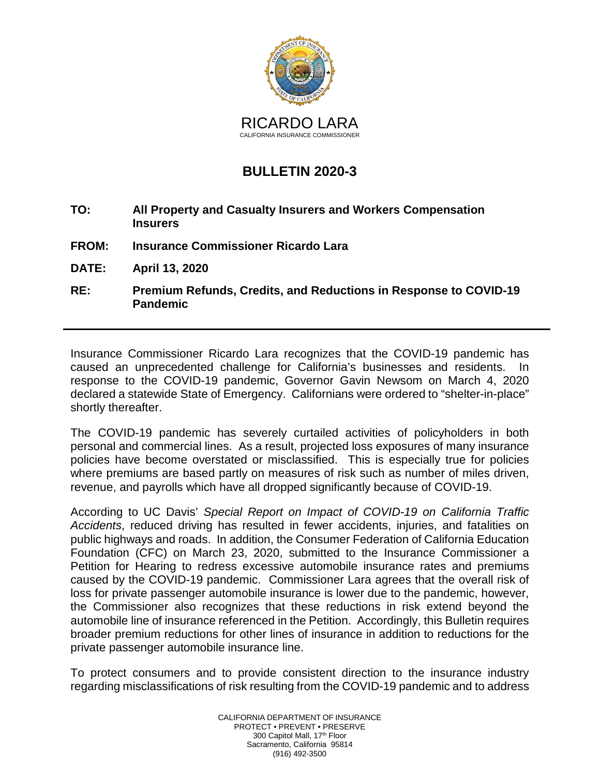

## **BULLETIN 2020-3**

- **TO: All Property and Casualty Insurers and Workers Compensation Insurers**
- **FROM: Insurance Commissioner Ricardo Lara**
- **DATE: April 13, 2020**
- **RE: Premium Refunds, Credits, and Reductions in Response to COVID-19 Pandemic**

Insurance Commissioner Ricardo Lara recognizes that the COVID-19 pandemic has caused an unprecedented challenge for California's businesses and residents. In response to the COVID-19 pandemic, Governor Gavin Newsom on March 4, 2020 declared a statewide State of Emergency. Californians were ordered to "shelter-in-place" shortly thereafter.

The COVID-19 pandemic has severely curtailed activities of policyholders in both personal and commercial lines. As a result, projected loss exposures of many insurance policies have become overstated or misclassified. This is especially true for policies where premiums are based partly on measures of risk such as number of miles driven, revenue, and payrolls which have all dropped significantly because of COVID-19.

According to UC Davis' *Special Report on Impact of COVID-19 on California Traffic Accidents*, reduced driving has resulted in fewer accidents, injuries, and fatalities on public highways and roads. In addition, the Consumer Federation of California Education Foundation (CFC) on March 23, 2020, submitted to the Insurance Commissioner a Petition for Hearing to redress excessive automobile insurance rates and premiums caused by the COVID-19 pandemic. Commissioner Lara agrees that the overall risk of loss for private passenger automobile insurance is lower due to the pandemic, however, the Commissioner also recognizes that these reductions in risk extend beyond the automobile line of insurance referenced in the Petition. Accordingly, this Bulletin requires broader premium reductions for other lines of insurance in addition to reductions for the private passenger automobile insurance line.

To protect consumers and to provide consistent direction to the insurance industry regarding misclassifications of risk resulting from the COVID-19 pandemic and to address

> CALIFORNIA DEPARTMENT OF INSURANCE PROTECT • PREVENT • PRESERVE 300 Capitol Mall, 17th Floor Sacramento, California 95814 (916) 492-3500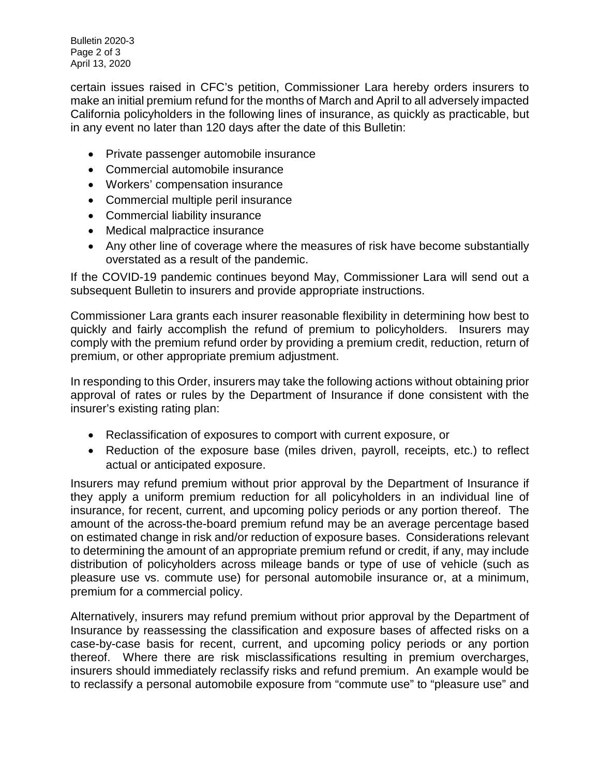Bulletin 2020-3 Page 2 of 3 April 13, 2020

certain issues raised in CFC's petition, Commissioner Lara hereby orders insurers to make an initial premium refund for the months of March and April to all adversely impacted California policyholders in the following lines of insurance, as quickly as practicable, but in any event no later than 120 days after the date of this Bulletin:

- Private passenger automobile insurance
- Commercial automobile insurance
- Workers' compensation insurance
- Commercial multiple peril insurance
- Commercial liability insurance
- Medical malpractice insurance
- Any other line of coverage where the measures of risk have become substantially overstated as a result of the pandemic.

If the COVID-19 pandemic continues beyond May, Commissioner Lara will send out a subsequent Bulletin to insurers and provide appropriate instructions.

Commissioner Lara grants each insurer reasonable flexibility in determining how best to quickly and fairly accomplish the refund of premium to policyholders. Insurers may comply with the premium refund order by providing a premium credit, reduction, return of premium, or other appropriate premium adjustment.

In responding to this Order, insurers may take the following actions without obtaining prior approval of rates or rules by the Department of Insurance if done consistent with the insurer's existing rating plan:

- Reclassification of exposures to comport with current exposure, or
- Reduction of the exposure base (miles driven, payroll, receipts, etc.) to reflect actual or anticipated exposure.

Insurers may refund premium without prior approval by the Department of Insurance if they apply a uniform premium reduction for all policyholders in an individual line of insurance, for recent, current, and upcoming policy periods or any portion thereof. The amount of the across-the-board premium refund may be an average percentage based on estimated change in risk and/or reduction of exposure bases. Considerations relevant to determining the amount of an appropriate premium refund or credit, if any, may include distribution of policyholders across mileage bands or type of use of vehicle (such as pleasure use vs. commute use) for personal automobile insurance or, at a minimum, premium for a commercial policy.

Alternatively, insurers may refund premium without prior approval by the Department of Insurance by reassessing the classification and exposure bases of affected risks on a case-by-case basis for recent, current, and upcoming policy periods or any portion thereof. Where there are risk misclassifications resulting in premium overcharges, insurers should immediately reclassify risks and refund premium. An example would be to reclassify a personal automobile exposure from "commute use" to "pleasure use" and